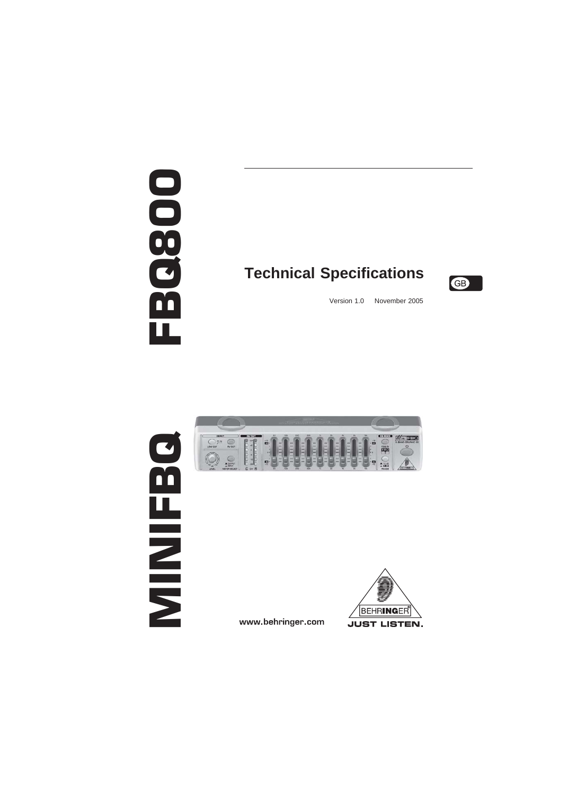# FBQSOO

# **Technical Specifications**



Version 1.0 November 2005





www.behringer.com

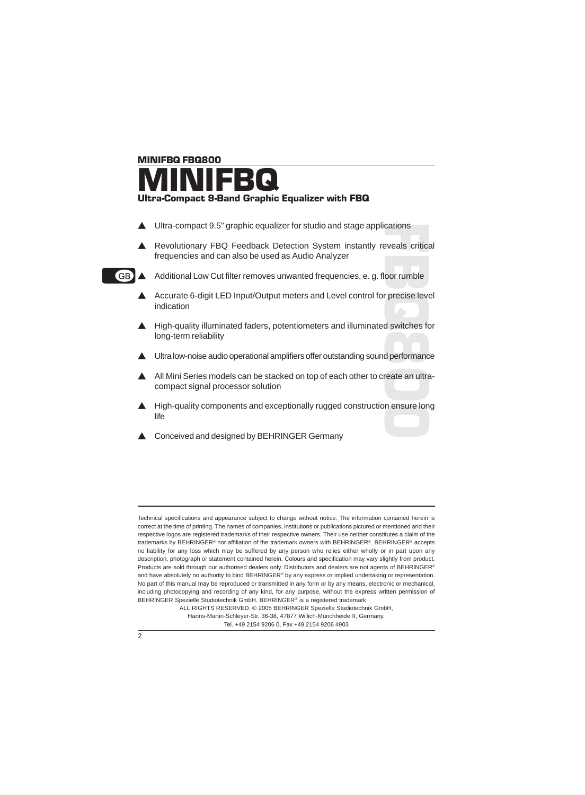## MINIFBQ FBQ800 MINIFBQ Ultra-Compact 9-Band Graphic Equalizer with FBQ

- $\triangle$  Ultra-compact 9.5" graphic equalizer for studio and stage applications
- cations<br>eveals critica<br>oor rumble<br>precise leve<br>d switches for<br>performanc<br>reate an ultra<br>n ensure lon Revolutionary FBQ Feedback Detection System instantly reveals critical frequencies and can also be used as Audio Analyzer



 $\overline{AB}$  Additional Low Cut filter removes unwanted frequencies, e. g. floor rumble

- Accurate 6-digit LED Input/Output meters and Level control for precise level indication
- ▲ High-quality illuminated faders, potentiometers and illuminated switches for long-term reliability
- Ultra low-noise audio operational amplifiers offer outstanding sound performance
- All Mini Series models can be stacked on top of each other to create an ultracompact signal processor solution
- A High-quality components and exceptionally rugged construction ensure long life
- Conceived and designed by BEHRINGER Germany

ALL RIGHTS RESERVED. © 2005 BEHRINGER Spezielle Studiotechnik GmbH, Hanns-Martin-Schleyer-Str. 36-38, 47877 Willich-Münchheide II, Germany. Tel. +49 2154 9206 0, Fax +49 2154 9206 4903



Technical specifications and appearance subject to change without notice. The information contained herein is correct at the time of printing. The names of companies, institutions or publications pictured or mentioned and their respective logos are registered trademarks of their respective owners. Their use neither constitutes a claim of the trademarks by BEHRINGER® nor affiliation of the trademark owners with BEHRINGER®. BEHRINGER® accepts no liability for any loss which may be suffered by any person who relies either wholly or in part upon any description, photograph or statement contained herein. Colours and specification may vary slightly from product. Products are sold through our authorised dealers only. Distributors and dealers are not agents of BEHRINGER® and have absolutely no authority to bind BEHRINGER® by any express or implied undertaking or representation. No part of this manual may be reproduced or transmitted in any form or by any means, electronic or mechanical, including photocopying and recording of any kind, for any purpose, without the express written permission of BEHRINGER Spezielle Studiotechnik GmbH. BEHRINGER® is a registered trademark.